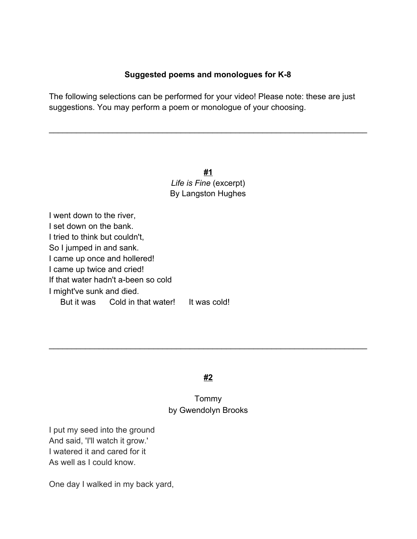### **Suggested poems and monologues for K-8**

The following selections can be performed for your video! Please note: these are just suggestions. You may perform a poem or monologue of your choosing.

> **#1** *Life is Fine* (excerpt) By Langston Hughes

\_\_\_\_\_\_\_\_\_\_\_\_\_\_\_\_\_\_\_\_\_\_\_\_\_\_\_\_\_\_\_\_\_\_\_\_\_\_\_\_\_\_\_\_\_\_\_\_\_\_\_\_\_\_\_\_\_\_\_\_\_\_\_\_\_\_\_\_\_\_

I went down to the river, I set down on the bank. I tried to think but couldn't, So I jumped in and sank. I came up once and hollered! I came up twice and cried! If that water hadn't a-been so cold I might've sunk and died. But it was Cold in that water! It was cold!

#### **#2**

\_\_\_\_\_\_\_\_\_\_\_\_\_\_\_\_\_\_\_\_\_\_\_\_\_\_\_\_\_\_\_\_\_\_\_\_\_\_\_\_\_\_\_\_\_\_\_\_\_\_\_\_\_\_\_\_\_\_\_\_\_\_\_\_\_\_\_\_\_\_

## Tommy by Gwendolyn Brooks

I put my seed into the ground And said, 'I'll watch it grow.' I watered it and cared for it As well as I could know.

One day I walked in my back yard,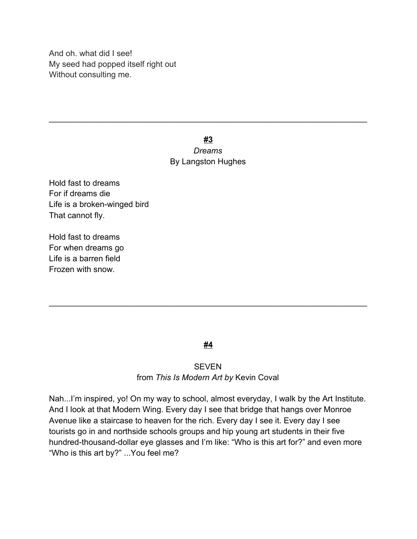And oh. what did I see! My seed had popped itself right out Without consulting me.

# **#3** *Dreams* By Langston Hughes

\_\_\_\_\_\_\_\_\_\_\_\_\_\_\_\_\_\_\_\_\_\_\_\_\_\_\_\_\_\_\_\_\_\_\_\_\_\_\_\_\_\_\_\_\_\_\_\_\_\_\_\_\_\_\_\_\_\_\_\_\_\_\_\_\_\_\_\_\_\_

Hold fast to dreams For if dreams die Life is a broken-winged bird That cannot fly.

Hold fast to dreams For when dreams go Life is a barren field Frozen with snow.

#### **#4**

\_\_\_\_\_\_\_\_\_\_\_\_\_\_\_\_\_\_\_\_\_\_\_\_\_\_\_\_\_\_\_\_\_\_\_\_\_\_\_\_\_\_\_\_\_\_\_\_\_\_\_\_\_\_\_\_\_\_\_\_\_\_\_\_\_\_\_\_\_\_

### SEVEN from *This Is Modern Art by* Kevin Coval

Nah...I'm inspired, yo! On my way to school, almost everyday, I walk by the Art Institute. And I look at that Modern Wing. Every day I see that bridge that hangs over Monroe Avenue like a staircase to heaven for the rich. Every day I see it. Every day I see tourists go in and northside schools groups and hip young art students in their five hundred-thousand-dollar eye glasses and I'm like: "Who is this art for?" and even more "Who is this art by?" ...You feel me?